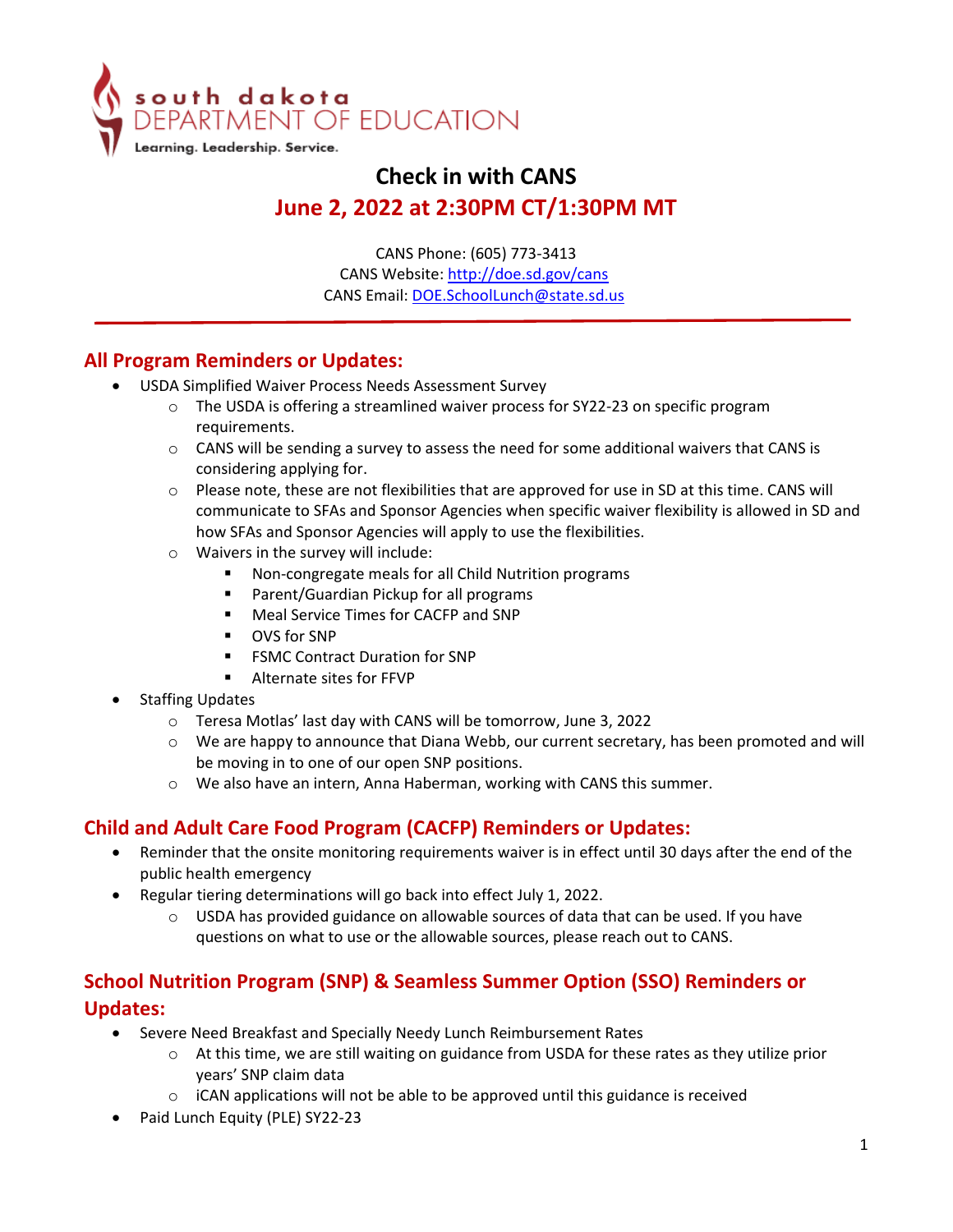

# **Check in with CANS June 2, 2022 at 2:30PM CT/1:30PM MT**

CANS Phone: (605) 773-3413 CANS Website: [http://doe.sd.gov/cans](http://doe.sd.gov/cans/index.aspx)  CANS Email: [DOE.SchoolLunch@state.sd.us](mailto:DOE.SchoolLunch@state.sd.us) 

### **All Program Reminders or Updates:**

- USDA Simplified Waiver Process Needs Assessment Survey
	- $\circ$  The USDA is offering a streamlined waiver process for SY22-23 on specific program requirements.
	- $\circ$  CANS will be sending a survey to assess the need for some additional waivers that CANS is considering applying for.
	- o Please note, these are not flexibilities that are approved for use in SD at this time. CANS will communicate to SFAs and Sponsor Agencies when specific waiver flexibility is allowed in SD and how SFAs and Sponsor Agencies will apply to use the flexibilities.
	- $\circ$  Waivers in the survey will include:
		- Non-congregate meals for all Child Nutrition programs
		- **Parent/Guardian Pickup for all programs**
		- **Meal Service Times for CACFP and SNP**
		- **DVS** for SNP
		- FSMC Contract Duration for SNP
		- Alternate sites for FFVP
- **Staffing Updates** 
	- o Teresa Motlas' last day with CANS will be tomorrow, June 3, 2022
	- o We are happy to announce that Diana Webb, our current secretary, has been promoted and will be moving in to one of our open SNP positions.
	- o We also have an intern, Anna Haberman, working with CANS this summer.

### **Child and Adult Care Food Program (CACFP) Reminders or Updates:**

- Reminder that the onsite monitoring requirements waiver is in effect until 30 days after the end of the public health emergency
- Regular tiering determinations will go back into effect July 1, 2022.
	- o USDA has provided guidance on allowable sources of data that can be used. If you have questions on what to use or the allowable sources, please reach out to CANS.

## **School Nutrition Program (SNP) & Seamless Summer Option (SSO) Reminders or Updates:**

- Severe Need Breakfast and Specially Needy Lunch Reimbursement Rates
	- o At this time, we are still waiting on guidance from USDA for these rates as they utilize prior years' SNP claim data
	- o iCAN applications will not be able to be approved until this guidance is received
- Paid Lunch Equity (PLE) SY22-23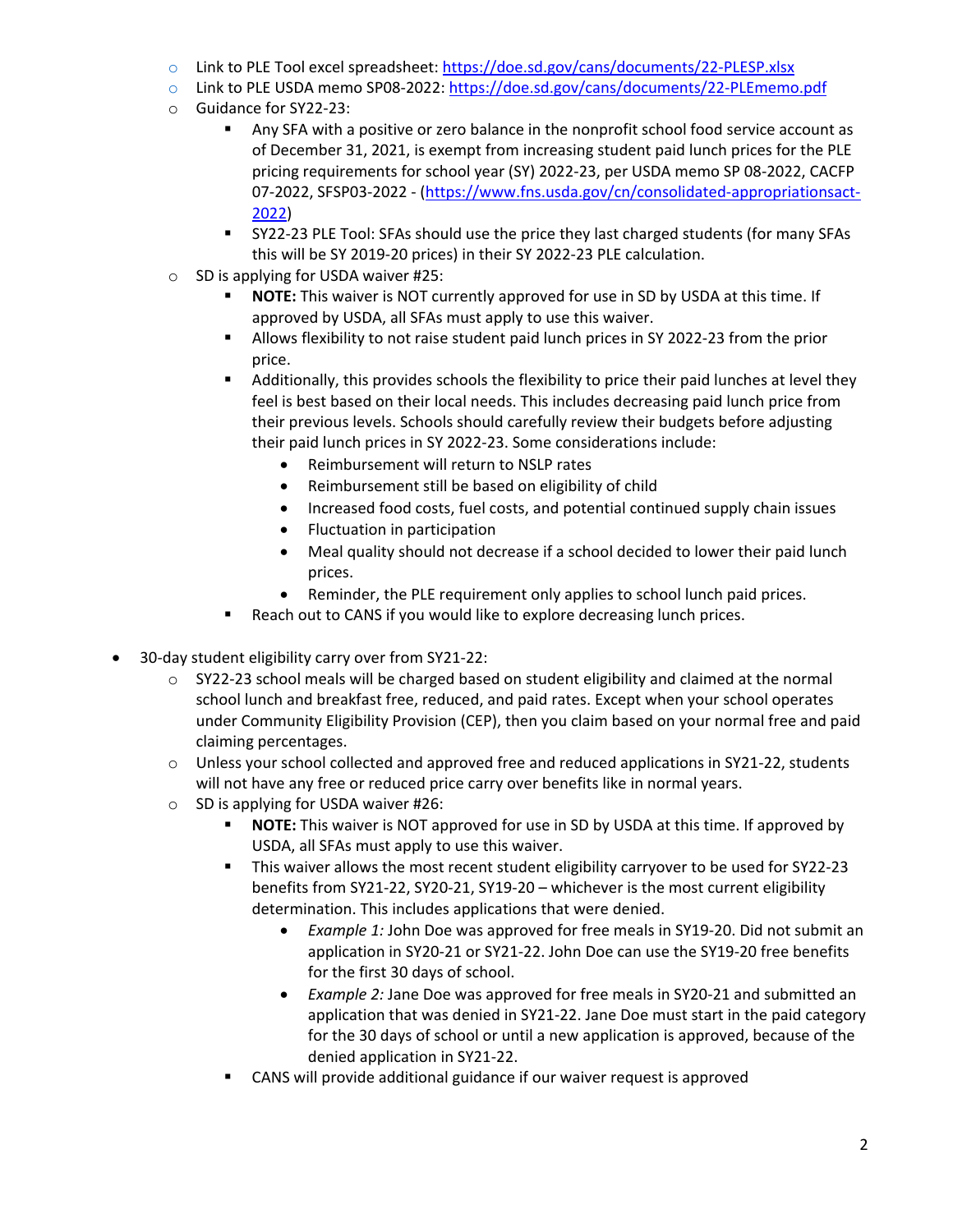- o Link to PLE Tool excel spreadsheet:<https://doe.sd.gov/cans/documents/22-PLESP.xlsx>
- o Link to PLE USDA memo SP08-2022[: https://doe.sd.gov/cans/documents/22-PLEmemo.pdf](https://doe.sd.gov/cans/documents/22-PLEmemo.pdf)
- o Guidance for SY22-23:
	- Any SFA with a positive or zero balance in the nonprofit school food service account as of December 31, 2021, is exempt from increasing student paid lunch prices for the PLE pricing requirements for school year (SY) 2022-23, per USDA memo SP 08-2022, CACFP 07-2022, SFSP03-2022 - [\(https://www.fns.usda.gov/cn/consolidated-appropriationsact-](https://www.fns.usda.gov/cn/consolidated-appropriationsact-2022)[2022\)](https://www.fns.usda.gov/cn/consolidated-appropriationsact-2022)
	- SY22-23 PLE Tool: SFAs should use the price they last charged students (for many SFAs this will be SY 2019-20 prices) in their SY 2022-23 PLE calculation.
- o SD is applying for USDA waiver #25:
	- **NOTE:** This waiver is NOT currently approved for use in SD by USDA at this time. If approved by USDA, all SFAs must apply to use this waiver.
	- Allows flexibility to not raise student paid lunch prices in SY 2022-23 from the prior price.
	- Additionally, this provides schools the flexibility to price their paid lunches at level they feel is best based on their local needs. This includes decreasing paid lunch price from their previous levels. Schools should carefully review their budgets before adjusting their paid lunch prices in SY 2022-23. Some considerations include:
		- Reimbursement will return to NSLP rates
		- Reimbursement still be based on eligibility of child
		- Increased food costs, fuel costs, and potential continued supply chain issues
		- Fluctuation in participation
		- Meal quality should not decrease if a school decided to lower their paid lunch prices.
		- Reminder, the PLE requirement only applies to school lunch paid prices.
	- Reach out to CANS if you would like to explore decreasing lunch prices.
- 30-day student eligibility carry over from SY21-22:
	- o SY22-23 school meals will be charged based on student eligibility and claimed at the normal school lunch and breakfast free, reduced, and paid rates. Except when your school operates under Community Eligibility Provision (CEP), then you claim based on your normal free and paid claiming percentages.
	- $\circ$  Unless your school collected and approved free and reduced applications in SY21-22, students will not have any free or reduced price carry over benefits like in normal years.
	- o SD is applying for USDA waiver #26:
		- **NOTE:** This waiver is NOT approved for use in SD by USDA at this time. If approved by USDA, all SFAs must apply to use this waiver.
		- This waiver allows the most recent student eligibility carryover to be used for SY22-23 benefits from SY21-22, SY20-21, SY19-20 – whichever is the most current eligibility determination. This includes applications that were denied.
			- *Example 1:* John Doe was approved for free meals in SY19-20. Did not submit an application in SY20-21 or SY21-22. John Doe can use the SY19-20 free benefits for the first 30 days of school.
			- *Example 2:* Jane Doe was approved for free meals in SY20-21 and submitted an application that was denied in SY21-22. Jane Doe must start in the paid category for the 30 days of school or until a new application is approved, because of the denied application in SY21-22.
		- CANS will provide additional guidance if our waiver request is approved